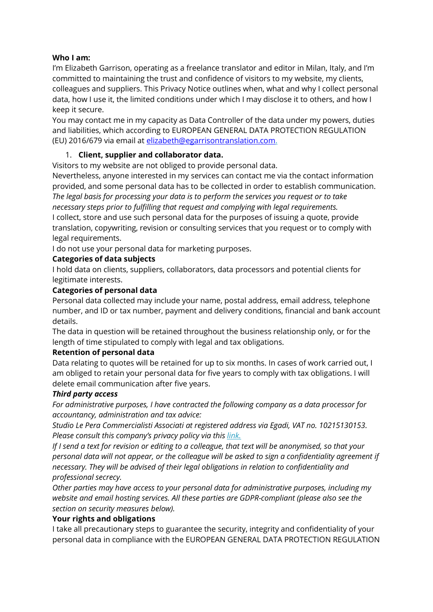# **Who I am:**

I'm Elizabeth Garrison, operating as a freelance translator and editor in Milan, Italy, and I'm committed to maintaining the trust and confidence of visitors to my website, my clients, colleagues and suppliers. This Privacy Notice outlines when, what and why I collect personal data, how I use it, the limited conditions under which I may disclose it to others, and how I keep it secure.

You may contact me in my capacity as Data Controller of the data under my powers, duties and liabilities, which according to EUROPEAN GENERAL DATA PROTECTION REGULATION (EU) 2016/679 via email at [elizabeth@egarrisontranslation.com.](mailto:elizabeth@egarrisontranslation.com)

### 1. **Client, supplier and collaborator data.**

Visitors to my website are not obliged to provide personal data.

Nevertheless, anyone interested in my services can contact me via the contact information provided, and some personal data has to be collected in order to establish communication. *The legal basis for processing your data is to perform the services you request or to take necessary steps prior to fulfilling that request and complying with legal requirements.*

I collect, store and use such personal data for the purposes of issuing a quote, provide translation, copywriting, revision or consulting services that you request or to comply with legal requirements.

I do not use your personal data for marketing purposes.

### **Categories of data subjects**

I hold data on clients, suppliers, collaborators, data processors and potential clients for legitimate interests.

#### **Categories of personal data**

Personal data collected may include your name, postal address, email address, telephone number, and ID or tax number, payment and delivery conditions, financial and bank account details.

The data in question will be retained throughout the business relationship only, or for the length of time stipulated to comply with legal and tax obligations.

#### **Retention of personal data**

Data relating to quotes will be retained for up to six months. In cases of work carried out, I am obliged to retain your personal data for five years to comply with tax obligations. I will delete email communication after five years.

#### *Third party access*

*For administrative purposes, I have contracted the following company as a data processor for accountancy, administration and tax advice:*

*Studio Le Pera Commercialisti Associati at registered address via Egadi, VAT no. 10215130153. Please consult this company's privacy policy via this [link.](https://www.associatilepera.it/privacy-policy/)*

If I send a text for revision or editing to a colleague, that text will be anonymised, so that your *personal data will not appear, or the colleague will be asked to sign a confidentiality agreement if necessary. They will be advised of their legal obligations in relation to confidentiality and professional secrecy.*

*Other parties may have access to your personal data for administrative purposes, including my website and email hosting services. All these parties are GDPR-compliant (please also see the section on security measures below).*

#### **Your rights and obligations**

I take all precautionary steps to guarantee the security, integrity and confidentiality of your personal data in compliance with the EUROPEAN GENERAL DATA PROTECTION REGULATION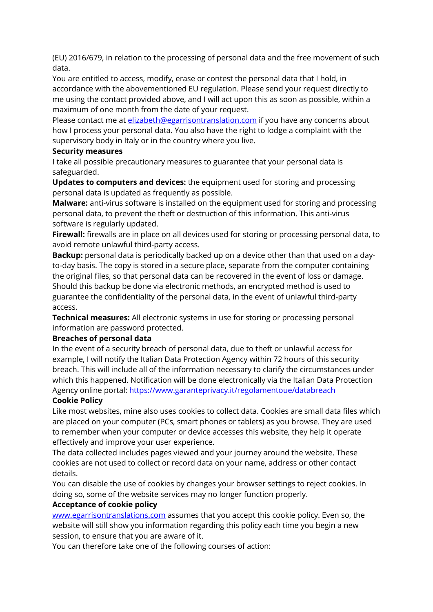(EU) 2016/679, in relation to the processing of personal data and the free movement of such data.

You are entitled to access, modify, erase or contest the personal data that I hold, in accordance with the abovementioned EU regulation. Please send your request directly to me using the contact provided above, and I will act upon this as soon as possible, within a maximum of one month from the date of your request.

Please contact me at [elizabeth@egarrisontranslation.com](mailto:elizabeth@egarrisontranslation.com) if you have any concerns about how I process your personal data. You also have the right to lodge a complaint with the supervisory body in Italy or in the country where you live.

## **Security measures**

I take all possible precautionary measures to guarantee that your personal data is safeguarded.

**Updates to computers and devices:** the equipment used for storing and processing personal data is updated as frequently as possible.

**Malware:** anti-virus software is installed on the equipment used for storing and processing personal data, to prevent the theft or destruction of this information. This anti-virus software is regularly updated.

**Firewall:** firewalls are in place on all devices used for storing or processing personal data, to avoid remote unlawful third-party access.

**Backup:** personal data is periodically backed up on a device other than that used on a dayto-day basis. The copy is stored in a secure place, separate from the computer containing the original files, so that personal data can be recovered in the event of loss or damage. Should this backup be done via electronic methods, an encrypted method is used to guarantee the confidentiality of the personal data, in the event of unlawful third-party access.

**Technical measures:** All electronic systems in use for storing or processing personal information are password protected.

# **Breaches of personal data**

In the event of a security breach of personal data, due to theft or unlawful access for example, I will notify the Italian Data Protection Agency within 72 hours of this security breach. This will include all of the information necessary to clarify the circumstances under which this happened. Notification will be done electronically via the Italian Data Protection Agency online portal: <https://www.garanteprivacy.it/regolamentoue/databreach>

#### **Cookie Policy**

Like most websites, mine also uses cookies to collect data. Cookies are small data files which are placed on your computer (PCs, smart phones or tablets) as you browse. They are used to remember when your computer or device accesses this website, they help it operate effectively and improve your user experience.

The data collected includes pages viewed and your journey around the website. These cookies are not used to collect or record data on your name, address or other contact details.

You can disable the use of cookies by changes your browser settings to reject cookies. In doing so, some of the website services may no longer function properly.

# **Acceptance of cookie policy**

[www.egarrisontranslations.com](http://www.egarrisontranslations.com/) assumes that you accept this cookie policy. Even so, the website will still show you information regarding this policy each time you begin a new session, to ensure that you are aware of it.

You can therefore take one of the following courses of action: